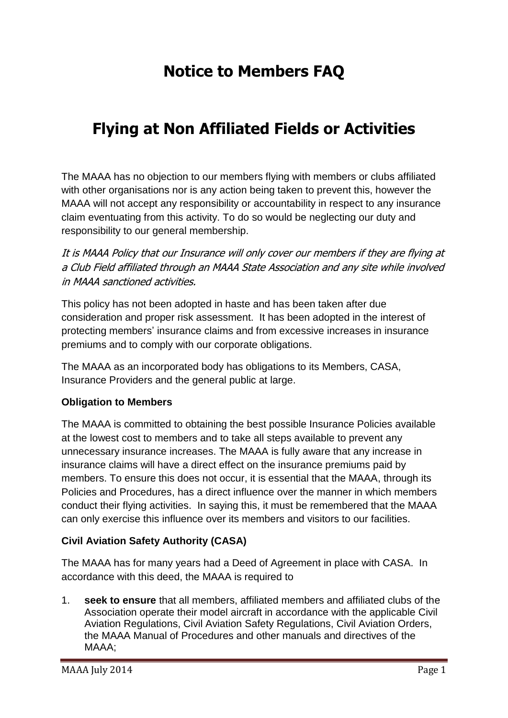# **Notice to Members FAQ**

## **Flying at Non Affiliated Fields or Activities**

The MAAA has no objection to our members flying with members or clubs affiliated with other organisations nor is any action being taken to prevent this, however the MAAA will not accept any responsibility or accountability in respect to any insurance claim eventuating from this activity. To do so would be neglecting our duty and responsibility to our general membership.

It is MAAA Policy that our Insurance will only cover our members if they are flying at a Club Field affiliated through an MAAA State Association and any site while involved in MAAA sanctioned activities.

This policy has not been adopted in haste and has been taken after due consideration and proper risk assessment. It has been adopted in the interest of protecting members' insurance claims and from excessive increases in insurance premiums and to comply with our corporate obligations.

The MAAA as an incorporated body has obligations to its Members, CASA, Insurance Providers and the general public at large.

## **Obligation to Members**

The MAAA is committed to obtaining the best possible Insurance Policies available at the lowest cost to members and to take all steps available to prevent any unnecessary insurance increases. The MAAA is fully aware that any increase in insurance claims will have a direct effect on the insurance premiums paid by members. To ensure this does not occur, it is essential that the MAAA, through its Policies and Procedures, has a direct influence over the manner in which members conduct their flying activities. In saying this, it must be remembered that the MAAA can only exercise this influence over its members and visitors to our facilities.

## **Civil Aviation Safety Authority (CASA)**

The MAAA has for many years had a Deed of Agreement in place with CASA. In accordance with this deed, the MAAA is required to

1. **seek to ensure** that all members, affiliated members and affiliated clubs of the Association operate their model aircraft in accordance with the applicable Civil Aviation Regulations, Civil Aviation Safety Regulations, Civil Aviation Orders, the MAAA Manual of Procedures and other manuals and directives of the MAAA;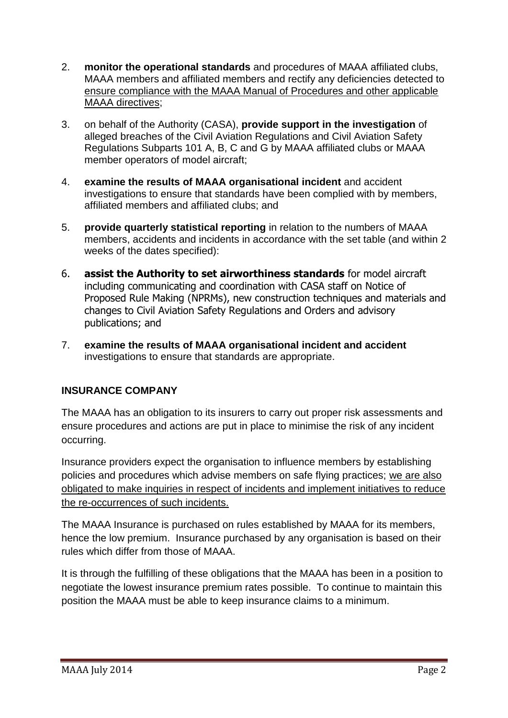- 2. **monitor the operational standards** and procedures of MAAA affiliated clubs, MAAA members and affiliated members and rectify any deficiencies detected to ensure compliance with the MAAA Manual of Procedures and other applicable MAAA directives;
- 3. on behalf of the Authority (CASA), **provide support in the investigation** of alleged breaches of the Civil Aviation Regulations and Civil Aviation Safety Regulations Subparts 101 A, B, C and G by MAAA affiliated clubs or MAAA member operators of model aircraft;
- 4. **examine the results of MAAA organisational incident** and accident investigations to ensure that standards have been complied with by members, affiliated members and affiliated clubs; and
- 5. **provide quarterly statistical reporting** in relation to the numbers of MAAA members, accidents and incidents in accordance with the set table (and within 2 weeks of the dates specified):
- 6. **assist the Authority to set airworthiness standards** for model aircraft including communicating and coordination with CASA staff on Notice of Proposed Rule Making (NPRMs), new construction techniques and materials and changes to Civil Aviation Safety Regulations and Orders and advisory publications; and
- 7. **examine the results of MAAA organisational incident and accident** investigations to ensure that standards are appropriate.

## **INSURANCE COMPANY**

The MAAA has an obligation to its insurers to carry out proper risk assessments and ensure procedures and actions are put in place to minimise the risk of any incident occurring.

Insurance providers expect the organisation to influence members by establishing policies and procedures which advise members on safe flying practices; we are also obligated to make inquiries in respect of incidents and implement initiatives to reduce the re-occurrences of such incidents.

The MAAA Insurance is purchased on rules established by MAAA for its members, hence the low premium. Insurance purchased by any organisation is based on their rules which differ from those of MAAA.

It is through the fulfilling of these obligations that the MAAA has been in a position to negotiate the lowest insurance premium rates possible. To continue to maintain this position the MAAA must be able to keep insurance claims to a minimum.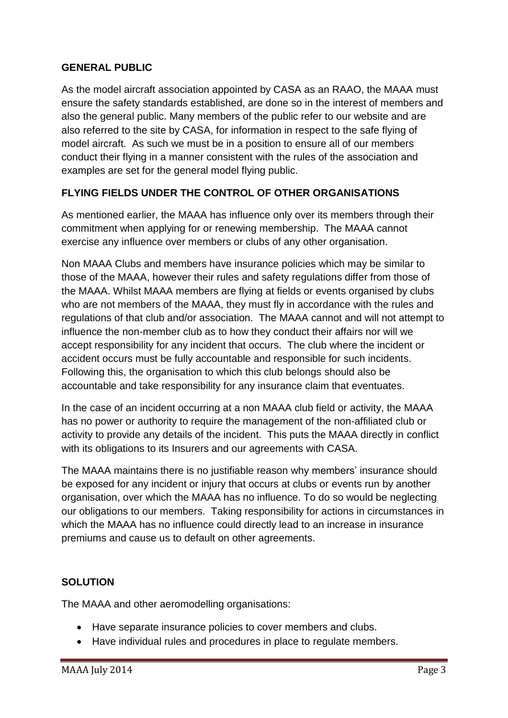## **GENERAL PUBLIC**

As the model aircraft association appointed by CASA as an RAAO, the MAAA must ensure the safety standards established, are done so in the interest of members and also the general public. Many members of the public refer to our website and are also referred to the site by CASA, for information in respect to the safe flying of model aircraft. As such we must be in a position to ensure all of our members conduct their flying in a manner consistent with the rules of the association and examples are set for the general model flying public.

## **FLYING FIELDS UNDER THE CONTROL OF OTHER ORGANISATIONS**

As mentioned earlier, the MAAA has influence only over its members through their commitment when applying for or renewing membership. The MAAA cannot exercise any influence over members or clubs of any other organisation.

Non MAAA Clubs and members have insurance policies which may be similar to those of the MAAA, however their rules and safety regulations differ from those of the MAAA. Whilst MAAA members are flying at fields or events organised by clubs who are not members of the MAAA, they must fly in accordance with the rules and regulations of that club and/or association. The MAAA cannot and will not attempt to influence the non-member club as to how they conduct their affairs nor will we accept responsibility for any incident that occurs. The club where the incident or accident occurs must be fully accountable and responsible for such incidents. Following this, the organisation to which this club belongs should also be accountable and take responsibility for any insurance claim that eventuates.

In the case of an incident occurring at a non MAAA club field or activity, the MAAA has no power or authority to require the management of the non-affiliated club or activity to provide any details of the incident. This puts the MAAA directly in conflict with its obligations to its Insurers and our agreements with CASA.

The MAAA maintains there is no justifiable reason why members' insurance should be exposed for any incident or injury that occurs at clubs or events run by another organisation, over which the MAAA has no influence. To do so would be neglecting our obligations to our members. Taking responsibility for actions in circumstances in which the MAAA has no influence could directly lead to an increase in insurance premiums and cause us to default on other agreements.

## **SOLUTION**

The MAAA and other aeromodelling organisations:

- Have separate insurance policies to cover members and clubs.
- Have individual rules and procedures in place to regulate members.